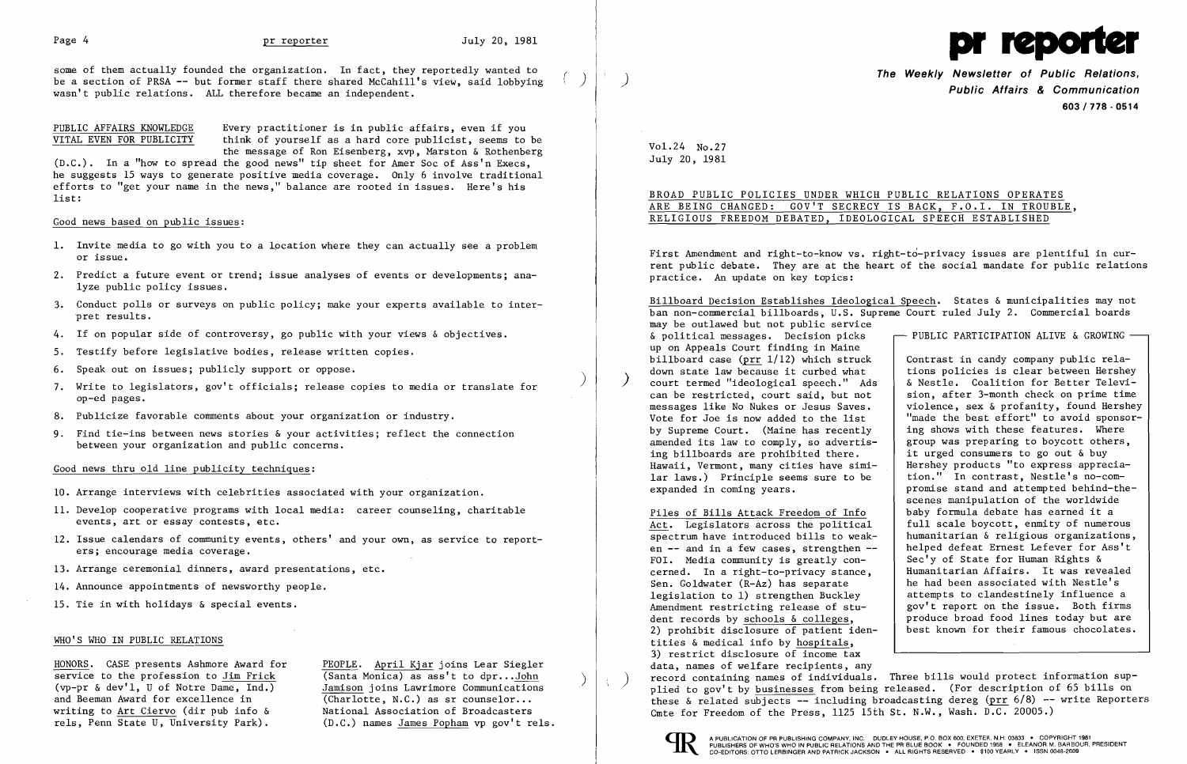some of them actually founded the organization. In fact, they reportedly wanted to be a section of PRSA  $-$  but former staff there shared McCahill's view, said lobbying wasn't public relations. ALL therefore became an independent.

PUBLIC AFFAIRS KNOWLEDGE Every practitioner is in public affairs, even if you<br>VITAL EVEN FOR PUBLICITY think of yourself as a hard core publicist, seems to think of yourself as a hard core publicist, seems to be the message of Ron Eisenberg, xvp, Marston & Rothenberg

(D.C.). In a "how to spread the good news" tip sheet for Amer Soc of Ass'n Execs, he suggests 15 ways to generate positive media coverage. Only 6 involve traditional efforts to "get your name in the news," balance are rooted in issues. Here's his list:

## Good news based on public issues:

- 1. Invite media to go with you to a location where they can actually see a problem or issue.
- 2. Predict a future event or trend; issue analyses of events or developments; analyze public policy issues.
- 3. Conduct polls or surveys on public policy; make your experts available to interpret results.
- 4. If on popular side of controversy, go public with your views & objectives.
- 5. Testify before legislative bodies, release written copies.
- 6. Speak out on issues; publicly support or oppose.
- ) 7. Write to legislators, gov't officials; release copies to media or translate for op-ed pages.
- 8. Publicize favorable comments about your organization or industry.
- 9. Find tie-ins between news stories & your activities; reflect the connection between your organization and public concerns.

Billboard Decision Establishes Ideological Speech. States & municipalities may not ban non-commercial billboards, U.S. Supreme Court ruled July 2. Commercial boards may be outlawed but not public service & political messages. Decision picks  $\longleftarrow$  PUBLIC PARTICIPATION ALIVE & GROWING up on Appeals Court finding in Maine billboard case ( $\frac{prr}{l}$  1/12) which struck contrast in candy company public rela-<br>down state law because it curbed what tions policies is clear between Hershey court termed "ideological speech." Ads | & Nestle. Coalition for Better Televi-<br>can be restricted, court said, but not | sion, after 3-month check on prime time can be restricted, court said, but not  $\begin{array}{|l|l|} \hline \text{e} & \text{e} & \text{f} & \text{f} \\ \hline \text{f} & \text{f} & \text{f} & \text{f} \\ \hline \text{f} & \text{f} & \text{g} & \text{g} \\ \hline \text{f} & \text{g} & \text{g} & \text{g} \\ \hline \text{f} & \text{g} & \text{g} & \text{g} \\ \hline \text{f} & \text{g} & \text{g} & \text{g} \\ \hline \text{f}$ messages like No Nukes or Jesus Saves. | violence, sex & profanity, found Hershey<br>Vote for Joe is now added to the list | "made the best effort" to avoid sponsor-"made the best effort" to avoid sponsor-<br>ing shows with these features. Where by Supreme Court. (Maine has recently | ing shows with these features. Where amended its law to comply, so advertis- | group was preparing to boycott others, amended its law to comply, so advertis-<br>ing billboards are prohibited there. ing billboards are prohibited there.  $\begin{array}{|l|} \hline \end{array}$  it urged consumers to go out & buy Hawaii, Vermont, many cities have simi- Hershey products "to express apprec Hershey products "to express apprecia-<br>tion." In contrast, Nestle's no-comlar laws.) Principle seems sure to be expanded in coming years.  $|$  promise stand and attempted behind-thescenes manipulation of the worldwide Piles of Bills Attack Freedom of Info<br>Act. Legislators across the political | full scale boycott, enmity of numero Act. Legislators across the political full scale boycott, enmity of numerous spectrum have introduced bills to weak-<br>humanitarian & religious organizations, spectrum have introduced bills to weak-<br>en  $-$  and in a few cases, strengthen  $-$  helped defeat Ernest Lefever for Ass't helped defeat Ernest Lefever for Ass't<br>Sec'y of State for Human Rights  $\&$ FOI. Media community is greatly con-<br>  $\begin{array}{c|c} \text{FOL.} & \text{Median.} \\ \text{FOL.} & \text{FOL.} \\ \text{FOL.} & \text{FOL.} \end{array}$ cerned. In a right-to-privacy stance,<br>Sen. Goldwater (R-Az) has separate he had been associated with Nestle's legislation to 1) strengthen Buckley attempts to clandestinely influence a<br>Amendment restricting release of stu-<br>gov't report on the issue. Both firms gov't report on the issue. Both firms dent records by schools  $\&$  colleges,<br>
2) probibit disclosure of patient iden-<br>  $\begin{array}{|l|l|}\n\hline\n\end{array}$  best known for their famous chocolates. 2) prohibit disclosure of patient iden-

## Good news thru old line publicity techniques:

- 10. Arrange interviews with celebrities associated with your organization.
- 11. Develop cooperative programs with local media: career counseling, charitable events, art or essay contests, etc.
- 12. Issue calendars of community events, others' and your own, as service to reporters; encourage media coverage.
- 13. Arrange ceremonial dinners, award presentations, etc.
- 14. Announce appointments of newsworthy people.
- 15. Tie in with holidays & special events.

# WHO'S WHO IN PUBLIC RELATIONS

HONORS. CASE presents Ashmore Award for PEOPLE. April Kjar joins Lear Siegler<br>service to the profession to Jim Frick (Santa Monica) as ass't to dpr...John  $S(\text{vp-pr} \& \text{dev}'1, \text{U of Notre Dame}, \text{Ind.})$  Jamison joins Lawrimore Communications and Beeman Award for excellence in (Charlotte, N.C.) as sr counselor...<br>writing to Art Ciervo (dir pub info & National Association of Broadcasters writing to  $Art Ciervo$  (dir pub info  $\&$  rels, Penn State U, University Park).</u>

 $(D.C.)$  names James Popham vp gov't rels.



**The Weekly Newsletter of Public Relations,** ) **Public Affairs & Communication 603/778·0514** 

Vo1.24 No.27 July 20, 1981

BROAD PUBLIC POLICIES UNDER WHICH PUBLIC RELATIONS OPERATES ARE BEING CHANGED: GOV'T SECRECY IS BACK, F.O.I. IN TROUBLE, RELIGIOUS FREEDOM DEBATED, IDEOLOGICAL SPEECH ESTABLISHED

tities & medical info by hospitals, 3) restrict disclosure of income tax data, names of welfare recipients, any record containing names of individuals. Three bills would protect information sup-<br>plied to gov't by businesses from being released. (For description of 65 bills on these & related subjects  $-$  including broadcasting dereg (prr  $6/8$ )  $-$  write Reporters Cmte for Freedom of the Press, 1125 15th St. N.W., Wash. D.C. 20005.)



First Amendment and right-to-know vs. right-to-privacy issues are plentiful in current public debate. They are at the heart of the social mandate for public relations practice. An update on key topics: